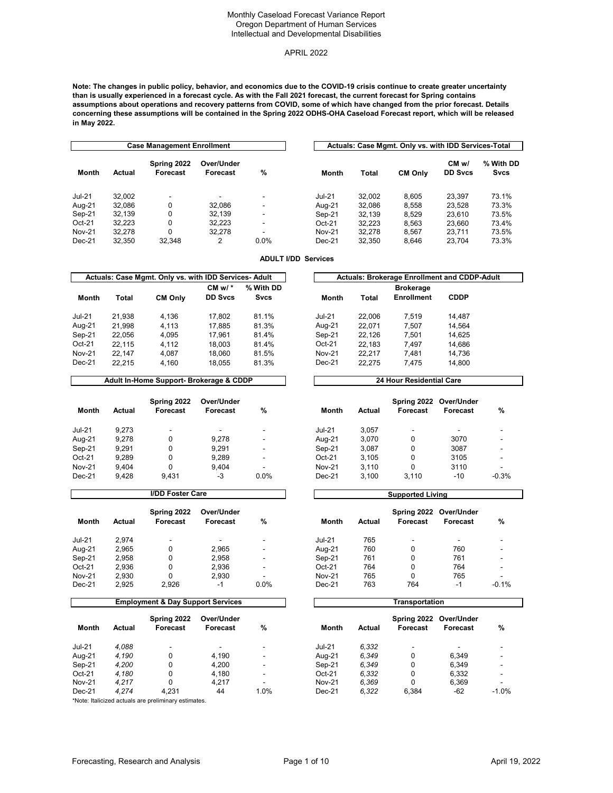### APRIL 2022

**Note: The changes in public policy, behavior, and economics due to the COVID-19 crisis continue to create greater uncertainty than is usually experienced in a forecast cycle. As with the Fall 2021 forecast, the current forecast for Spring contains assumptions about operations and recovery patterns from COVID, some of which have changed from the prior forecast. Details concerning these assumptions will be contained in the Spring 2022 ODHS-OHA Caseload Forecast report, which will be released in May 2022.**

|               |        | <b>Case Management Enrollment</b> |                          |                          |               |              | Actuals: Case Mgmt. Only vs. with IDD Services-Total |                        |                          |
|---------------|--------|-----------------------------------|--------------------------|--------------------------|---------------|--------------|------------------------------------------------------|------------------------|--------------------------|
| Month         | Actual | Spring 2022<br>Forecast           | Over/Under<br>Forecast   | %                        | <b>Month</b>  | <b>Total</b> | <b>CM Only</b>                                       | CMw/<br><b>DD Sycs</b> | % With DD<br><b>Svcs</b> |
| <b>Jul-21</b> | 32.002 | $\overline{\phantom{a}}$          | $\overline{\phantom{0}}$ |                          | <b>Jul-21</b> | 32.002       | 8.605                                                | 23.397                 | 73.1%                    |
| Aug-21        | 32.086 | 0                                 | 32.086                   | $\overline{\phantom{a}}$ | Aug-21        | 32.086       | 8.558                                                | 23.528                 | 73.3%                    |
| Sep-21        | 32.139 | 0                                 | 32.139                   | -                        | Sep-21        | 32.139       | 8.529                                                | 23.610                 | 73.5%                    |
| $Oct-21$      | 32.223 | 0                                 | 32.223                   | -                        | $Oct-21$      | 32.223       | 8.563                                                | 23.660                 | 73.4%                    |
| <b>Nov-21</b> | 32.278 | 0                                 | 32.278                   | -                        | <b>Nov-21</b> | 32.278       | 8.567                                                | 23.711                 | 73.5%                    |
| $Dec-21$      | 32.350 | 32.348                            | 2                        | $0.0\%$                  | $Dec-21$      | 32.350       | 8.646                                                | 23.704                 | 73.3%                    |

# **ADULT I/DD Services**

|               |        | Actuals: Case Mgmt. Only vs. with IDD Services-Adult |                             |                          |               |        | <b>Actuals: Brokerage Enrollment and CDDP-Adult</b> |             |  |
|---------------|--------|------------------------------------------------------|-----------------------------|--------------------------|---------------|--------|-----------------------------------------------------|-------------|--|
| Month         | Total  | <b>CM Only</b>                                       | CM $w/$ *<br><b>DD Sycs</b> | % With DD<br><b>Svcs</b> | Month         | Total  | <b>Brokerage</b><br><b>Enrollment</b>               | <b>CDDP</b> |  |
| <b>Jul-21</b> | 21.938 | 4.136                                                | 17.802                      | 81.1%                    | <b>Jul-21</b> | 22.006 | 7.519                                               | 14.487      |  |
| Aug-21        | 21.998 | 4.113                                                | 17.885                      | 81.3%                    | Aug-21        | 22.071 | 7.507                                               | 14.564      |  |
| Sep-21        | 22.056 | 4.095                                                | 17.961                      | 81.4%                    | Sep-21        | 22.126 | 7.501                                               | 14.625      |  |
| $Oct-21$      | 22.115 | 4.112                                                | 18.003                      | 81.4%                    | $Oct-21$      | 22.183 | 7.497                                               | 14.686      |  |
| <b>Nov-21</b> | 22.147 | 4.087                                                | 18.060                      | 81.5%                    | <b>Nov-21</b> | 22.217 | 7.481                                               | 14.736      |  |
| $Dec-21$      | 22.215 | 4.160                                                | 18.055                      | 81.3%                    | $Dec-21$      | 22.275 | 7.475                                               | 14,800      |  |

#### **Adult In-Home Support- Brokerage & CDDP 24 Hour Residential Care**

| Month         | Actual | Spring 2022<br>Forecast | Over/Under<br>Forecast   | %                        | Month         | Actual | Spring 2022<br>Forecast | Over/Under<br>Forecast | %                        |
|---------------|--------|-------------------------|--------------------------|--------------------------|---------------|--------|-------------------------|------------------------|--------------------------|
| <b>Jul-21</b> | 9.273  | -                       | $\overline{\phantom{a}}$ | $\overline{\phantom{a}}$ | <b>Jul-21</b> | 3.057  | -                       |                        | -                        |
| Aug-21        | 9,278  |                         | 9,278                    | $\overline{\phantom{a}}$ | Aug-21        | 3,070  | 0                       | 3070                   | -                        |
| $Sep-21$      | 9.291  |                         | 9.291                    | $\overline{\phantom{a}}$ | Sep-21        | 3.087  | 0                       | 3087                   |                          |
| $Oct-21$      | 9,289  |                         | 9.289                    | $\overline{\phantom{0}}$ | $Oct-21$      | 3.105  | 0                       | 3105                   | $\overline{\phantom{0}}$ |
| <b>Nov-21</b> | 9.404  |                         | 9.404                    | $\overline{\phantom{a}}$ | <b>Nov-21</b> | 3.110  | 0                       | 3110                   | -                        |
| $Dec-21$      | 9,428  | 9.431                   | $-3$                     | 0.0%                     | $Dec-21$      | 3,100  | 3.110                   | $-10$                  | $-0.3%$                  |

| <b>\dult</b> | <b>Actuals: Brokerage Enrollment and CDDP-Adult</b> |        |                   |             |  |  |  |  |
|--------------|-----------------------------------------------------|--------|-------------------|-------------|--|--|--|--|
| Nith DD      |                                                     |        | <b>Brokerage</b>  |             |  |  |  |  |
| Svcs         | Month                                               | Total  | <b>Enrollment</b> | <b>CDDP</b> |  |  |  |  |
| 31.1%        | <b>Jul-21</b>                                       | 22.006 | 7.519             | 14,487      |  |  |  |  |
| 31.3%        | Aug-21                                              | 22.071 | 7,507             | 14.564      |  |  |  |  |
| 31.4%        | $Sep-21$                                            | 22.126 | 7.501             | 14.625      |  |  |  |  |
| 31.4%        | $Oct-21$                                            | 22,183 | 7,497             | 14,686      |  |  |  |  |
| 31.5%        | <b>Nov-21</b>                                       | 22.217 | 7.481             | 14,736      |  |  |  |  |
| 31.3%        | $Dec-21$                                            | 22,275 | 7.475             | 14,800      |  |  |  |  |

| Month         | Actual | Spring 2022 Over/Under<br>Forecast | <b>Forecast</b> | %       |
|---------------|--------|------------------------------------|-----------------|---------|
| <b>Jul-21</b> | 3.057  |                                    |                 |         |
| Aug-21        | 3.070  | 0                                  | 3070            |         |
| Sep-21        | 3.087  | 0                                  | 3087            |         |
| $Oct-21$      | 3.105  | 0                                  | 3105            |         |
| <b>Nov-21</b> | 3,110  | 0                                  | 3110            |         |
| $Dec-21$      | 3.100  | 3.110                              | $-10$           | $-0.3%$ |

|               |        | <b>I/DD Foster Care</b>        |                          |                          |               |        | <b>Supported Living</b> |                        |                          |
|---------------|--------|--------------------------------|--------------------------|--------------------------|---------------|--------|-------------------------|------------------------|--------------------------|
| Month         | Actual | Spring 2022<br><b>Forecast</b> | Over/Under<br>Forecast   | %                        | <b>Month</b>  | Actual | Spring 2022<br>Forecast | Over/Under<br>Forecast | %                        |
| <b>Jul-21</b> | 2.974  | -                              | $\overline{\phantom{a}}$ |                          | $Jul-21$      | 765    | -                       |                        | -                        |
| Aug-21        | 2,965  | 0                              | 2,965                    | $\overline{\phantom{a}}$ | Aug-21        | 760    | 0                       | 760                    |                          |
| Sep-21        | 2,958  | 0                              | 2.958                    |                          | Sep-21        | 761    | 0                       | 761                    | -                        |
| $Oct-21$      | 2,936  | 0                              | 2.936                    | $\overline{\phantom{a}}$ | $Oct-21$      | 764    | 0                       | 764                    | -                        |
| <b>Nov-21</b> | 2.930  | 0                              | 2.930                    |                          | <b>Nov-21</b> | 765    | 0                       | 765                    | $\overline{\phantom{0}}$ |
| $Dec-21$      | 2,925  | 2,926                          | $-1$                     | 0.0%                     | $Dec-21$      | 763    | 764                     | $-1$                   | $-0.1%$                  |

| Month         | Actual | Spring 2022 Over/Under<br>Forecast | <b>Forecast</b> | %       |
|---------------|--------|------------------------------------|-----------------|---------|
| <b>Jul-21</b> | 765    |                                    |                 |         |
| Aug-21        | 760    | O                                  | 760             |         |
| Sep-21        | 761    | O                                  | 761             |         |
| $Oct-21$      | 764    | O                                  | 764             |         |
| <b>Nov-21</b> | 765    | O                                  | 765             |         |
| $Dec-21$      | 763    | 764                                | $-1$            | $-0.1%$ |
|               |        |                                    |                 |         |

|               |        | <b>Employment &amp; Day Support Services</b> |                        |        |               |        | Transportation          |                        |               |
|---------------|--------|----------------------------------------------|------------------------|--------|---------------|--------|-------------------------|------------------------|---------------|
| Month         | Actual | Spring 2022<br>Forecast                      | Over/Under<br>Forecast | %      | Month         | Actual | Spring 2022<br>Forecast | Over/Under<br>Forecast | $\frac{9}{4}$ |
| <b>Jul-21</b> | 4.088  | -                                            | -                      | $\sim$ | <b>Jul-21</b> | 6.332  |                         |                        |               |
| Aug-21        | 4.190  |                                              | 4.190                  | -      | Aug-21        | 6.349  | 0                       | 6.349                  |               |
| Sep-21        | 4,200  | 0                                            | 4.200                  |        | Sep-21        | 6.349  | 0                       | 6.349                  |               |
| $Oct-21$      | 4.180  | 0                                            | 4.180                  | -      | $Oct-21$      | 6.332  | 0                       | 6,332                  |               |
| Nov-21        | 4 217  |                                              | 4 2 1 7                |        | <b>Nov-21</b> | 6.369  |                         | 6.369                  |               |

|               |        | <b>Employment &amp; Day Support Services</b> |                        |                          |               |        | Transportation          |                               |         |
|---------------|--------|----------------------------------------------|------------------------|--------------------------|---------------|--------|-------------------------|-------------------------------|---------|
| Month         | Actual | Spring 2022<br>Forecast                      | Over/Under<br>Forecast | $\%$                     | Month         | Actual | Spring 2022<br>Forecast | Over/Under<br><b>Forecast</b> | %       |
| <b>Jul-21</b> | 4.088  |                                              | -                      | $\overline{\phantom{a}}$ | $Jul-21$      | 6.332  |                         |                               |         |
| Aug-21        | 4,190  | 0                                            | 4.190                  | $\overline{\phantom{a}}$ | Aug-21        | 6,349  | $\Omega$                | 6.349                         |         |
| Sep-21        | 4,200  | 0                                            | 4.200                  | $\overline{\phantom{a}}$ | Sep-21        | 6,349  | 0                       | 6.349                         |         |
| Oct-21        | 4.180  | 0                                            | 4.180                  | $\overline{\phantom{a}}$ | $Oct-21$      | 6.332  | $\Omega$                | 6.332                         |         |
| Nov-21        | 4.217  | 0                                            | 4.217                  | ۰                        | <b>Nov-21</b> | 6.369  | $\Omega$                | 6.369                         |         |
| Dec-21        | 4.274  | 4.231                                        | 44                     | 1.0%                     | $Dec-21$      | 6.322  | 6.384                   | $-62$                         | $-1.0%$ |

\*Note: Italicized actuals are preliminary estimates.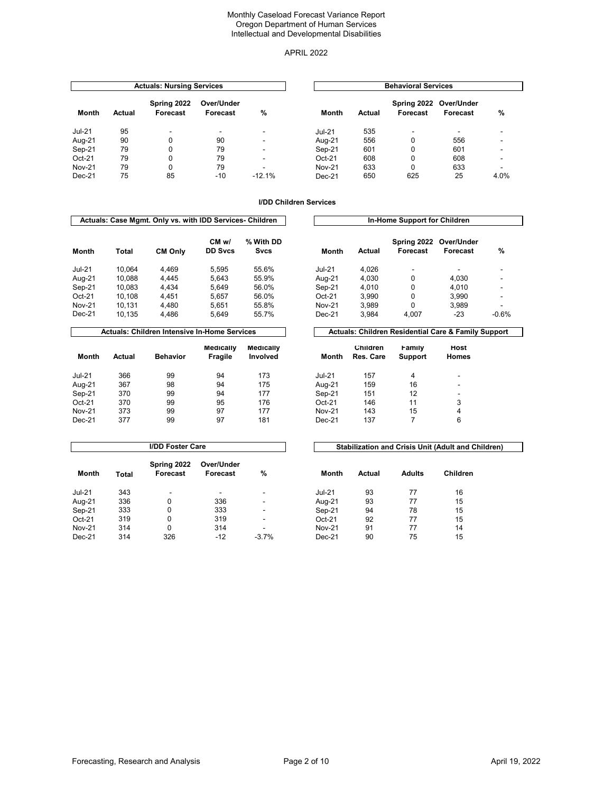### APRIL 2022

|               |        | <b>Actuals: Nursing Services</b> |                        |          |               |        | <b>Behavioral Services</b> |                        |      |
|---------------|--------|----------------------------------|------------------------|----------|---------------|--------|----------------------------|------------------------|------|
| Month         | Actual | Spring 2022<br>Forecast          | Over/Under<br>Forecast | %        | Month         | Actual | Spring 2022<br>Forecast    | Over/Under<br>Forecast | %    |
| $Jul-21$      | 95     | $\overline{\phantom{a}}$         | -                      | -        | <b>Jul-21</b> | 535    | $\overline{\phantom{a}}$   |                        |      |
| Aug-21        | 90     | 0                                | 90                     | -        | Aug-21        | 556    | 0                          | 556                    |      |
| Sep-21        | 79     | 0                                | 79                     | -        | Sep-21        | 601    | 0                          | 601                    |      |
| $Oct-21$      | 79     | 0                                | 79                     |          | $Oct-21$      | 608    | 0                          | 608                    |      |
| <b>Nov-21</b> | 79     | 0                                | 79                     |          | <b>Nov-21</b> | 633    | 0                          | 633                    |      |
| Dec-21        | 75     | 85                               | $-10$                  | $-12.1%$ | $Dec-21$      | 650    | 625                        | 25                     | 4.0% |

#### **I/DD Children Services**

|               |        | Actuals: Case Mgmt. Only vs. with IDD Services- Children |                        |                   |               |        | In-Home Support for Children |                        |                          |
|---------------|--------|----------------------------------------------------------|------------------------|-------------------|---------------|--------|------------------------------|------------------------|--------------------------|
| Month         | Total  | <b>CM Only</b>                                           | CMw/<br><b>DD Sycs</b> | % With DD<br>Svcs | <b>Month</b>  | Actual | Spring 2022<br>Forecast      | Over/Under<br>Forecast | %                        |
| <b>Jul-21</b> | 10.064 | 4.469                                                    | 5.595                  | 55.6%             | <b>Jul-21</b> | 4.026  | -                            | ۰                      |                          |
| Aug-21        | 10.088 | 4.445                                                    | 5.643                  | 55.9%             | Aug-21        | 4.030  | 0                            | 4.030                  |                          |
| Sep-21        | 10.083 | 4.434                                                    | 5.649                  | 56.0%             | Sep-21        | 4.010  | 0                            | 4.010                  |                          |
| $Oct-21$      | 10.108 | 4.451                                                    | 5.657                  | 56.0%             | $Oct-21$      | 3.990  | 0                            | 3.990                  | $\overline{\phantom{a}}$ |
| <b>Nov-21</b> | 10.131 | 4.480                                                    | 5.651                  | 55.8%             | <b>Nov-21</b> | 3.989  | 0                            | 3.989                  | $\overline{\phantom{0}}$ |
| $Dec-21$      | 10.135 | 4.486                                                    | 5.649                  | 55.7%             | $Dec-21$      | 3.984  | 4.007                        | -23                    | $-0.6%$                  |

# Actuals: Children Intensive In-Home Services **Actuals: Children Residential Care & Family Support**

| Month         | Actual | <b>Behavior</b> | <b>Medically</b><br><b>Fragile</b> | <b>Medically</b><br><b>Involved</b> | Month         | <b>Children</b><br>Res. Care | Family<br>Support | HO<br>Hon |
|---------------|--------|-----------------|------------------------------------|-------------------------------------|---------------|------------------------------|-------------------|-----------|
| <b>Jul-21</b> | 366    | 99              | 94                                 | 173                                 | <b>Jul-21</b> | 157                          | 4                 | -         |
| Aug-21        | 367    | 98              | 94                                 | 175                                 | Aug-21        | 159                          | 16                | -         |
| Sep-21        | 370    | 99              | 94                                 | 177                                 | Sep-21        | 151                          | 12                | ٠         |
| $Oct-21$      | 370    | 99              | 95                                 | 176                                 | Oct-21        | 146                          | 11                | 3         |
| <b>Nov-21</b> | 373    | 99              | 97                                 | 177                                 | <b>Nov-21</b> | 143                          | 15                | 4         |
| $Dec-21$      | 377    | 99              | 97                                 | 181                                 | $Dec-21$      | 137                          |                   | 6         |

| Nith DD |               |        | Spring 2022 Over/Under |          |         |
|---------|---------------|--------|------------------------|----------|---------|
| Svcs    | Month         | Actual | Forecast               | Forecast | %       |
| 55.6%   | <b>Jul-21</b> | 4.026  |                        |          |         |
| 55.9%   | Aug-21        | 4.030  | 0                      | 4,030    | -       |
| 56.0%   | Sep-21        | 4.010  | 0                      | 4.010    | -       |
| 56.0%   | $Oct-21$      | 3.990  | $\Omega$               | 3.990    |         |
| 55.8%   | <b>Nov-21</b> | 3,989  | 0                      | 3,989    |         |
| 55.7%   | $Dec-21$      | 3.984  | 4.007                  | $-23$    | $-0.6%$ |

**In-Home Support for Children** 

# **Month Children Res. Care Family Support Host Homes**

|               |       | <b>I/DD Foster Care</b> |                          | <b>Stabilization and Crisis Unit (Adult are</b> |               |        |               |       |  |
|---------------|-------|-------------------------|--------------------------|-------------------------------------------------|---------------|--------|---------------|-------|--|
| Month         | Total | Spring 2022<br>Forecast | Over/Under<br>Forecast   | $\frac{9}{6}$                                   | <b>Month</b>  | Actual | <b>Adults</b> | Child |  |
| <b>Jul-21</b> | 343   | -                       | $\overline{\phantom{a}}$ | -                                               | <b>Jul-21</b> | 93     | 77            | 16    |  |
| Aug-21        | 336   | 0                       | 336                      |                                                 | Aug-21        | 93     | 77            | 15    |  |
| Sep-21        | 333   | 0                       | 333                      | -                                               | Sep-21        | 94     | 78            | 15    |  |
| $Oct-21$      | 319   | 0                       | 319                      | -                                               | $Oct-21$      | 92     | 77            | 15    |  |
| <b>Nov-21</b> | 314   | 0                       | 314                      | -                                               | <b>Nov-21</b> | 91     | 77            | 14    |  |
| $Dec-21$      | 314   | 326                     | $-12$                    | $-3.7%$                                         | $Dec-21$      | 90     | 75            | 15    |  |

| ≀ver/Under<br>Forecast   | %                        | <b>Month</b>  | Actual | <b>Adults</b> | Children |  |
|--------------------------|--------------------------|---------------|--------|---------------|----------|--|
| $\overline{\phantom{a}}$ | $\overline{\phantom{a}}$ | <b>Jul-21</b> | 93     | 77            | 16       |  |
| 336                      | -                        | Aug-21        | 93     | 77            | 15       |  |
| 333                      | $\overline{\phantom{a}}$ | Sep-21        | 94     | 78            | 15       |  |
| 319                      | -                        | $Oct-21$      | 92     | 77            | 15       |  |
| 314                      | -                        | <b>Nov-21</b> | 91     | 77            | 14       |  |

**Stabilization and Crisis Unit (Adult and Children)**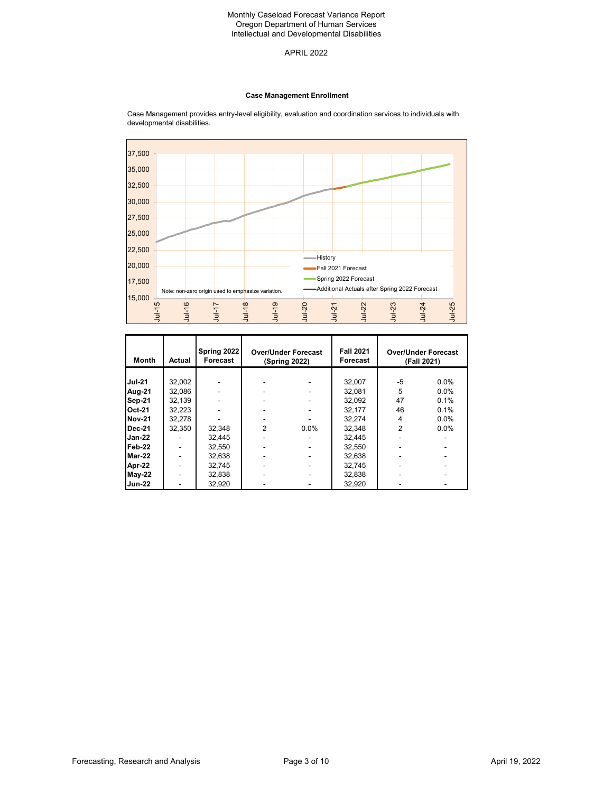### APRIL 2022

#### **Case Management Enrollment**



**Month Actual Spring 2022 Forecast Fall 2021 Forecast Jul-21 3**2,002 - | - - | 32,007 | -5 0.0% **Aug-21** 32,086 - - - - - 32,081 5 0.0% **Sep-21 3**2,139 - - - - - 32,092 47 0.1% **Oct-21 3**2,223 - | - - | 32,177 | 46 0.1% **Nov-21** 32,278 - - - - - 32,274 4 0.0% **Dec-21** 32,350 32,348 2 0.0% 32,348 2 0.0% **Jan-22 | - |** 32,445 | - - | 32,445 | - - -**Feb-22 | - |** 32,550 | - - | 32,550 | - - -**Mar-22 | - |** 32,638 | - - | 32,638 | - -**Apr-22 | - |** 32,745 | - | - | 32,745 | - | - | -**May-22 | - |** 32,838 | - | - | 32,838 | - | - | -**Jun-22 | - |** 32,920 | - - | 32,920 | - - -**Over/Under Forecast (Spring 2022) Over/Under Forecast (Fall 2021)**

Case Management provides entry-level eligibility, evaluation and coordination services to individuals with developmental disabilities.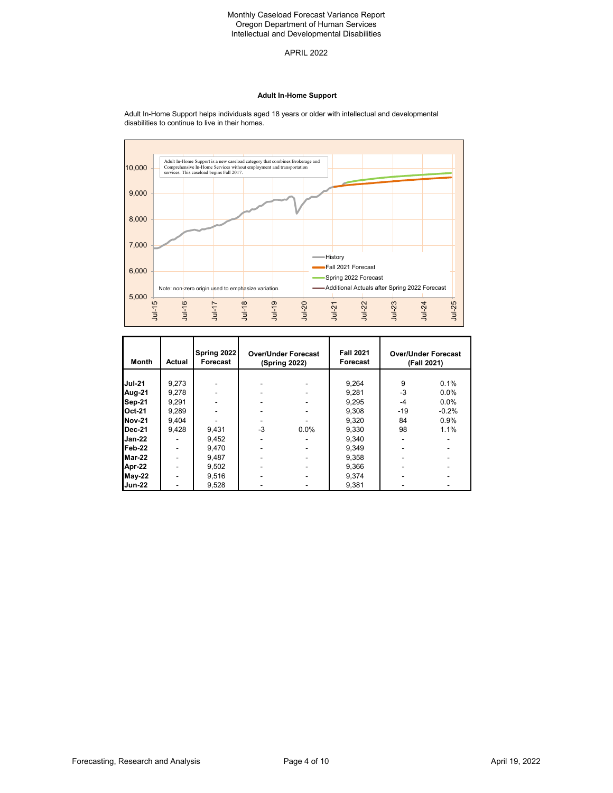APRIL 2022

### **Adult In-Home Support**

Adult In-Home Support is a new caseload category that combines Brokerage and Comprehensive In-Home Services without employment and transportation services. This caseload begins Fall 2017. 10,000 9,000 8,000 7,000 History  $\equiv$ Fall 2021 Forecast 6,000 Spring 2022 Forecast Note: non-zero origin used to emphasize variation. **Additional Actuals after Spring 2022 Forecast** 5,000 Jul-15 Jul-16 Jul-18 Jul-19 Jul-25 Jul-17 Jul-20 Jul-22 Jul-23 Jul-24 Jul-21

| <b>Month</b>  | Actual | Spring 2022<br>Forecast | <b>Over/Under Forecast</b><br>(Spring 2022) |      | <b>Fall 2021</b><br>Forecast |       | <b>Over/Under Forecast</b><br>(Fall 2021) |
|---------------|--------|-------------------------|---------------------------------------------|------|------------------------------|-------|-------------------------------------------|
|               |        |                         |                                             |      |                              |       |                                           |
| <b>Jul-21</b> | 9,273  |                         |                                             |      | 9,264                        | 9     | 0.1%                                      |
| Aug-21        | 9,278  |                         |                                             |      | 9,281                        | $-3$  | 0.0%                                      |
| <b>Sep-21</b> | 9.291  |                         |                                             |      | 9.295                        | $-4$  | 0.0%                                      |
| <b>Oct-21</b> | 9,289  |                         |                                             |      | 9,308                        | $-19$ | $-0.2%$                                   |
| <b>Nov-21</b> | 9.404  |                         |                                             |      | 9,320                        | 84    | 0.9%                                      |
| Dec-21        | 9,428  | 9,431                   | -3                                          | 0.0% | 9,330                        | 98    | 1.1%                                      |
| <b>Jan-22</b> |        | 9.452                   |                                             |      | 9.340                        |       |                                           |
| Feb-22        |        | 9.470                   |                                             |      | 9.349                        |       |                                           |
| Mar-22        |        | 9.487                   |                                             |      | 9.358                        |       |                                           |
| Apr-22        |        | 9,502                   |                                             |      | 9,366                        |       |                                           |
| $May-22$      |        | 9,516                   |                                             |      | 9,374                        |       |                                           |
| <b>Jun-22</b> |        | 9,528                   |                                             |      | 9,381                        |       |                                           |

#### Adult In-Home Support helps individuals aged 18 years or older with intellectual and developmental disabilities to continue to live in their homes.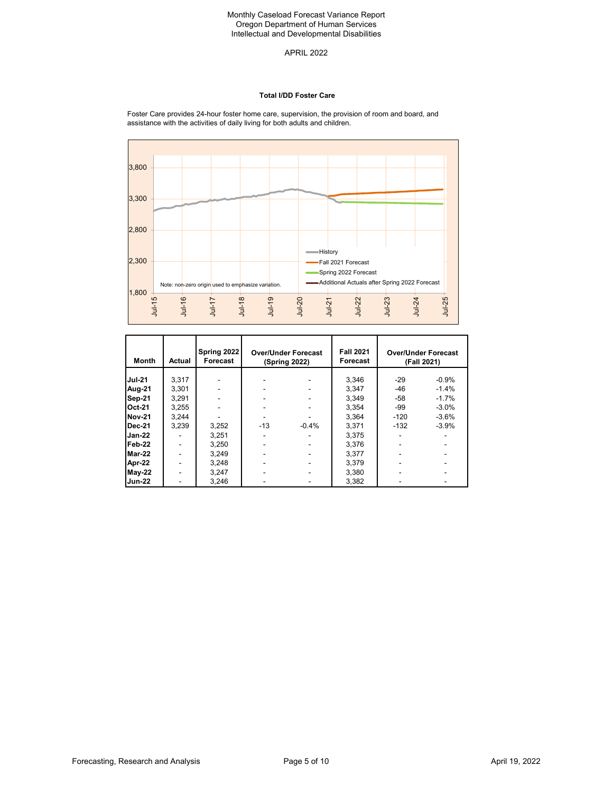APRIL 2022

#### **Total I/DD Foster Care**

Foster Care provides 24-hour foster home care, supervision, the provision of room and board, and assistance with the activities of daily living for both adults and children.



| <b>Month</b>  | Actual | Spring 2022<br>Forecast | <b>Over/Under Forecast</b><br>(Spring 2022) |         | <b>Fall 2021</b><br>Forecast |        | <b>Over/Under Forecast</b><br>(Fall 2021) |
|---------------|--------|-------------------------|---------------------------------------------|---------|------------------------------|--------|-------------------------------------------|
| <b>Jul-21</b> | 3.317  |                         |                                             |         | 3.346                        | $-29$  | $-0.9%$                                   |
| Aug-21        | 3.301  |                         |                                             |         | 3.347                        | $-46$  | $-1.4%$                                   |
| Sep-21        | 3.291  |                         |                                             |         | 3.349                        | $-58$  | $-1.7%$                                   |
| <b>Oct-21</b> | 3,255  |                         |                                             |         | 3.354                        | -99    | $-3.0%$                                   |
| <b>Nov-21</b> | 3.244  |                         |                                             |         | 3.364                        | $-120$ | $-3.6%$                                   |
| Dec-21        | 3,239  | 3,252                   | $-13$                                       | $-0.4%$ | 3.371                        | $-132$ | $-3.9%$                                   |
| <b>Jan-22</b> |        | 3,251                   |                                             |         | 3.375                        |        |                                           |
| Feb-22        |        | 3,250                   |                                             |         | 3.376                        |        |                                           |
| Mar-22        |        | 3.249                   |                                             |         | 3.377                        |        |                                           |
| Apr-22        |        | 3.248                   |                                             |         | 3.379                        |        |                                           |
| $May-22$      |        | 3.247                   |                                             |         | 3.380                        |        |                                           |
| <b>Jun-22</b> | -      | 3.246                   |                                             |         | 3.382                        |        |                                           |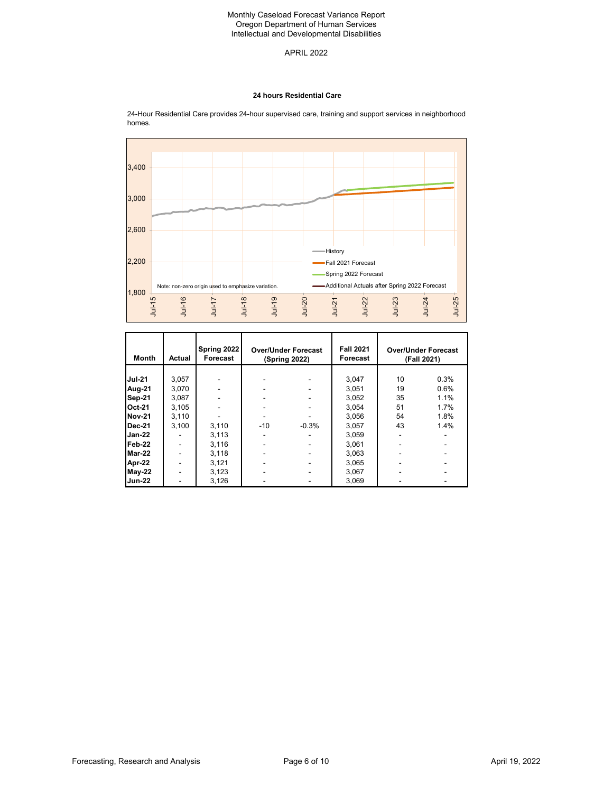APRIL 2022

#### **24 hours Residential Care**



24-Hour Residential Care provides 24-hour supervised care, training and support services in neighborhood homes.

| <b>Month</b>  | <b>Actual</b> | Spring 2022<br>Forecast | <b>Over/Under Forecast</b><br>(Spring 2022) |         | <b>Fall 2021</b><br>Forecast |    | <b>Over/Under Forecast</b><br>(Fall 2021) |
|---------------|---------------|-------------------------|---------------------------------------------|---------|------------------------------|----|-------------------------------------------|
|               |               |                         |                                             |         |                              |    |                                           |
| <b>Jul-21</b> | 3,057         |                         |                                             |         | 3,047                        | 10 | 0.3%                                      |
| Aug-21        | 3.070         |                         |                                             |         | 3.051                        | 19 | 0.6%                                      |
| Sep-21        | 3.087         |                         |                                             |         | 3.052                        | 35 | 1.1%                                      |
| <b>Oct-21</b> | 3,105         |                         |                                             |         | 3,054                        | 51 | 1.7%                                      |
| <b>Nov-21</b> | 3.110         |                         |                                             |         | 3.056                        | 54 | 1.8%                                      |
| <b>Dec-21</b> | 3,100         | 3,110                   | $-10$                                       | $-0.3%$ | 3,057                        | 43 | 1.4%                                      |
| Jan-22        |               | 3,113                   |                                             |         | 3,059                        |    |                                           |
| Feb-22        |               | 3.116                   |                                             |         | 3.061                        |    |                                           |
| Mar-22        |               | 3,118                   |                                             |         | 3,063                        |    |                                           |
| Apr-22        |               | 3,121                   |                                             |         | 3,065                        |    |                                           |
| May-22        |               | 3,123                   |                                             |         | 3.067                        |    |                                           |
| <b>Jun-22</b> | -             | 3,126                   |                                             |         | 3,069                        |    |                                           |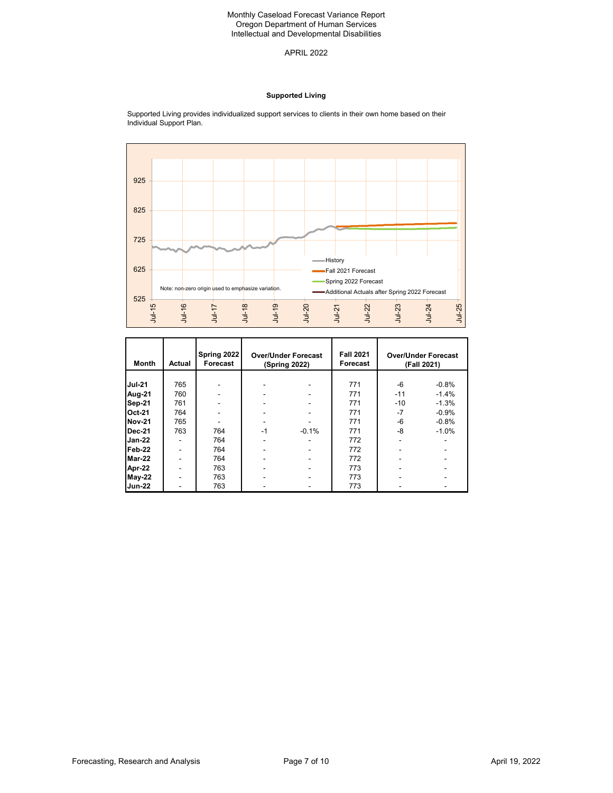APRIL 2022

## **Supported Living**



Supported Living provides individualized support services to clients in their own home based on their Individual Support Plan.

| <b>Month</b>  | Actual | Spring 2022<br>Forecast | <b>Over/Under Forecast</b><br>(Spring 2022) |         | <b>Fall 2021</b><br>Forecast |       | <b>Over/Under Forecast</b><br>(Fall 2021) |
|---------------|--------|-------------------------|---------------------------------------------|---------|------------------------------|-------|-------------------------------------------|
|               |        |                         |                                             |         |                              |       |                                           |
| <b>Jul-21</b> | 765    |                         |                                             |         | 771                          | -6    | $-0.8%$                                   |
| Aug-21        | 760    |                         |                                             |         | 771                          | $-11$ | $-1.4%$                                   |
| Sep-21        | 761    |                         |                                             |         | 771                          | $-10$ | $-1.3%$                                   |
| <b>Oct-21</b> | 764    |                         |                                             |         | 771                          | $-7$  | $-0.9%$                                   |
| <b>Nov-21</b> | 765    |                         |                                             |         | 771                          | -6    | $-0.8%$                                   |
| <b>Dec-21</b> | 763    | 764                     | $-1$                                        | $-0.1%$ | 771                          | -8    | $-1.0%$                                   |
| <b>Jan-22</b> | -      | 764                     |                                             |         | 772                          |       |                                           |
| Feb-22        | -      | 764                     |                                             |         | 772                          |       |                                           |
| Mar-22        |        | 764                     |                                             |         | 772                          |       |                                           |
| Apr-22        |        | 763                     |                                             |         | 773                          |       |                                           |
| $May-22$      |        | 763                     |                                             |         | 773                          |       |                                           |
| <b>Jun-22</b> |        | 763                     |                                             |         | 773                          |       |                                           |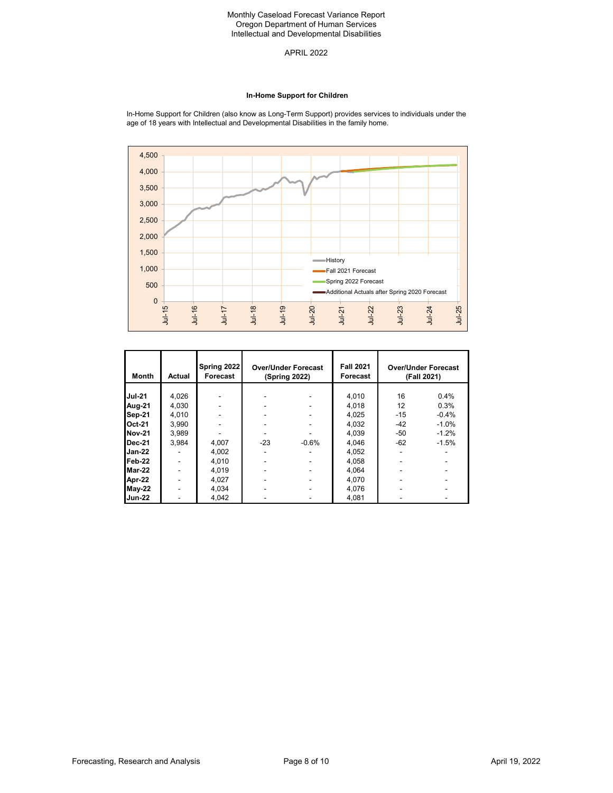APRIL 2022

#### **In-Home Support for Children**

In-Home Support for Children (also know as Long-Term Support) provides services to individuals under the age of 18 years with Intellectual and Developmental Disabilities in the family home.



| <b>Month</b>  | Actual | Spring 2022<br>Forecast | <b>Over/Under Forecast</b><br>(Spring 2022) |         | <b>Fall 2021</b><br>Forecast | <b>Over/Under Forecast</b><br>(Fall 2021) |         |
|---------------|--------|-------------------------|---------------------------------------------|---------|------------------------------|-------------------------------------------|---------|
| <b>Jul-21</b> | 4,026  |                         |                                             |         | 4,010                        | 16                                        | 0.4%    |
|               |        |                         |                                             |         |                              |                                           |         |
| Aug-21        | 4,030  |                         |                                             |         | 4,018                        | 12                                        | 0.3%    |
| Sep-21        | 4,010  |                         |                                             |         | 4,025                        | $-15$                                     | $-0.4%$ |
| <b>Oct-21</b> | 3,990  |                         |                                             |         | 4,032                        | $-42$                                     | $-1.0%$ |
| <b>Nov-21</b> | 3.989  |                         |                                             |         | 4.039                        | $-50$                                     | $-1.2%$ |
| Dec-21        | 3,984  | 4,007                   | $-23$                                       | $-0.6%$ | 4,046                        | $-62$                                     | $-1.5%$ |
| Jan-22        |        | 4,002                   |                                             |         | 4,052                        |                                           |         |
| Feb-22        |        | 4,010                   |                                             |         | 4,058                        |                                           |         |
| Mar-22        |        | 4.019                   |                                             |         | 4.064                        |                                           |         |
| Apr-22        |        | 4,027                   |                                             |         | 4,070                        |                                           |         |
| <b>May-22</b> |        | 4,034                   |                                             |         | 4,076                        |                                           |         |
| <b>Jun-22</b> | ٠      | 4,042                   |                                             |         | 4.081                        |                                           |         |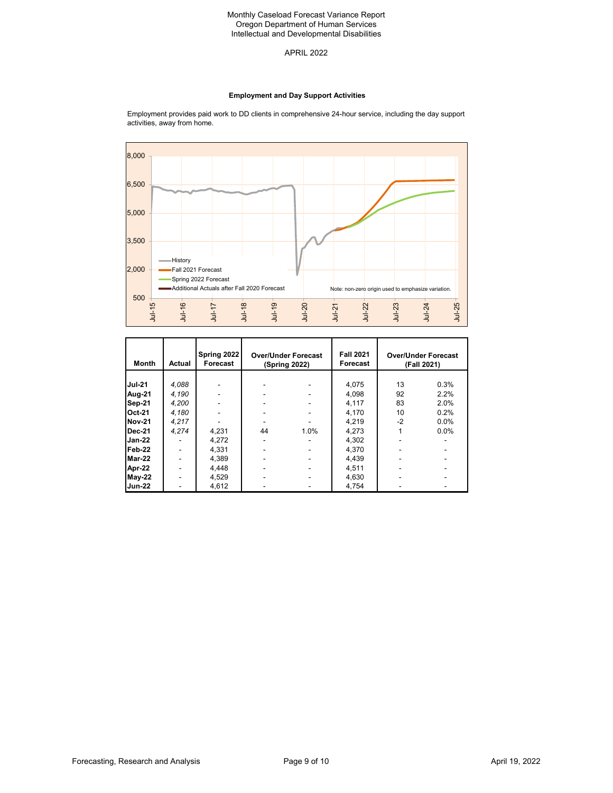APRIL 2022

### **Employment and Day Support Activities**



Employment provides paid work to DD clients in comprehensive 24-hour service, including the day support activities, away from home.

| <b>Month</b>  | Actual | Spring 2022<br>Forecast | <b>Over/Under Forecast</b><br>(Spring 2022) |      | <b>Fall 2021</b><br>Forecast |      | <b>Over/Under Forecast</b><br>(Fall 2021) |
|---------------|--------|-------------------------|---------------------------------------------|------|------------------------------|------|-------------------------------------------|
|               |        |                         |                                             |      |                              |      |                                           |
| <b>Jul-21</b> | 4.088  |                         |                                             |      | 4,075                        | 13   | 0.3%                                      |
| Aug-21        | 4.190  |                         |                                             |      | 4.098                        | 92   | 2.2%                                      |
| Sep-21        | 4,200  |                         |                                             |      | 4,117                        | 83   | 2.0%                                      |
| Oct-21        | 4.180  |                         |                                             |      | 4.170                        | 10   | 0.2%                                      |
| <b>Nov-21</b> | 4.217  |                         |                                             |      | 4.219                        | $-2$ | 0.0%                                      |
| Dec-21        | 4.274  | 4,231                   | 44                                          | 1.0% | 4,273                        |      | 0.0%                                      |
| Jan-22        |        | 4.272                   |                                             |      | 4,302                        |      |                                           |
| Feb-22        |        | 4,331                   |                                             |      | 4,370                        |      |                                           |
| Mar-22        |        | 4,389                   |                                             |      | 4,439                        |      |                                           |
| Apr-22        |        | 4.448                   |                                             |      | 4,511                        |      |                                           |
| $May-22$      |        | 4.529                   |                                             |      | 4,630                        |      |                                           |
| <b>Jun-22</b> |        | 4,612                   |                                             |      | 4.754                        |      |                                           |